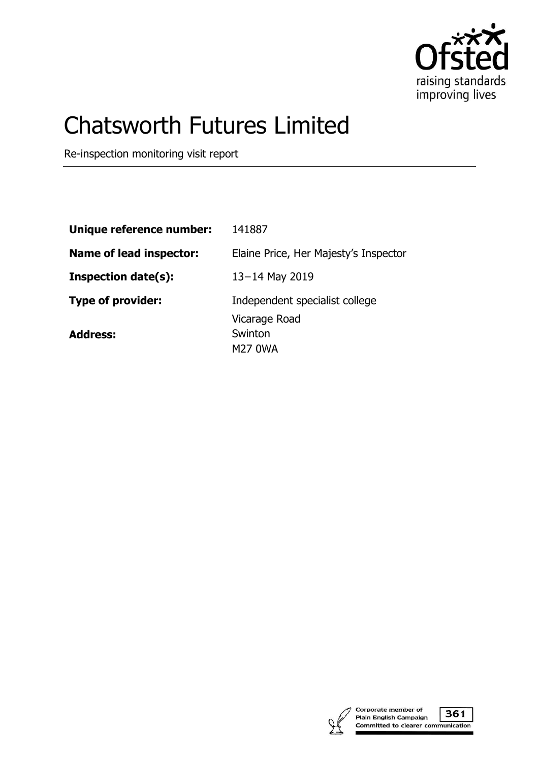

# Chatsworth Futures Limited

Re-inspection monitoring visit report

| Unique reference number:       | 141887                                     |
|--------------------------------|--------------------------------------------|
| <b>Name of lead inspector:</b> | Elaine Price, Her Majesty's Inspector      |
| <b>Inspection date(s):</b>     | 13-14 May 2019                             |
| <b>Type of provider:</b>       | Independent specialist college             |
| <b>Address:</b>                | Vicarage Road<br>Swinton<br><b>M27 0WA</b> |



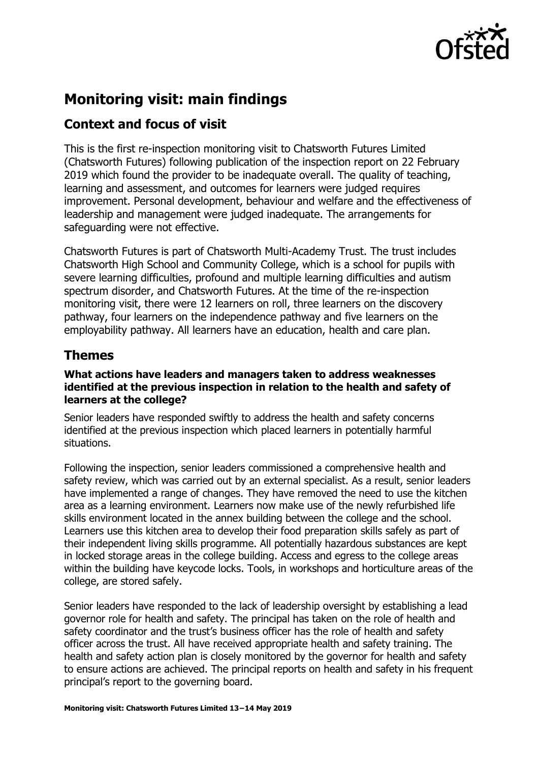

# **Monitoring visit: main findings**

## **Context and focus of visit**

This is the first re-inspection monitoring visit to Chatsworth Futures Limited (Chatsworth Futures) following publication of the inspection report on 22 February 2019 which found the provider to be inadequate overall. The quality of teaching, learning and assessment, and outcomes for learners were judged requires improvement. Personal development, behaviour and welfare and the effectiveness of leadership and management were judged inadequate. The arrangements for safeguarding were not effective.

Chatsworth Futures is part of Chatsworth Multi-Academy Trust. The trust includes Chatsworth High School and Community College, which is a school for pupils with severe learning difficulties, profound and multiple learning difficulties and autism spectrum disorder, and Chatsworth Futures. At the time of the re-inspection monitoring visit, there were 12 learners on roll, three learners on the discovery pathway, four learners on the independence pathway and five learners on the employability pathway. All learners have an education, health and care plan.

## **Themes**

#### **What actions have leaders and managers taken to address weaknesses identified at the previous inspection in relation to the health and safety of learners at the college?**

Senior leaders have responded swiftly to address the health and safety concerns identified at the previous inspection which placed learners in potentially harmful situations.

Following the inspection, senior leaders commissioned a comprehensive health and safety review, which was carried out by an external specialist. As a result, senior leaders have implemented a range of changes. They have removed the need to use the kitchen area as a learning environment. Learners now make use of the newly refurbished life skills environment located in the annex building between the college and the school. Learners use this kitchen area to develop their food preparation skills safely as part of their independent living skills programme. All potentially hazardous substances are kept in locked storage areas in the college building. Access and egress to the college areas within the building have keycode locks. Tools, in workshops and horticulture areas of the college, are stored safely.

Senior leaders have responded to the lack of leadership oversight by establishing a lead governor role for health and safety. The principal has taken on the role of health and safety coordinator and the trust's business officer has the role of health and safety officer across the trust. All have received appropriate health and safety training. The health and safety action plan is closely monitored by the governor for health and safety to ensure actions are achieved. The principal reports on health and safety in his frequent principal's report to the governing board.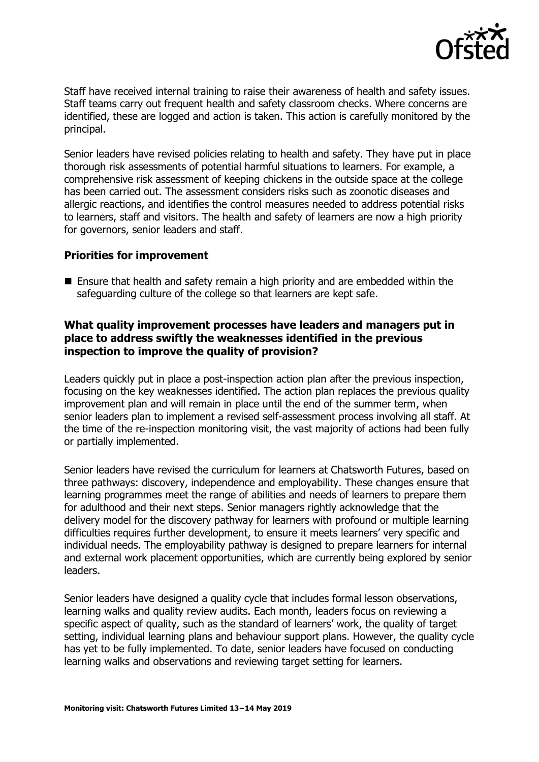

Staff have received internal training to raise their awareness of health and safety issues. Staff teams carry out frequent health and safety classroom checks. Where concerns are identified, these are logged and action is taken. This action is carefully monitored by the principal.

Senior leaders have revised policies relating to health and safety. They have put in place thorough risk assessments of potential harmful situations to learners. For example, a comprehensive risk assessment of keeping chickens in the outside space at the college has been carried out. The assessment considers risks such as zoonotic diseases and allergic reactions, and identifies the control measures needed to address potential risks to learners, staff and visitors. The health and safety of learners are now a high priority for governors, senior leaders and staff.

#### **Priorities for improvement**

■ Ensure that health and safety remain a high priority and are embedded within the safeguarding culture of the college so that learners are kept safe.

#### **What quality improvement processes have leaders and managers put in place to address swiftly the weaknesses identified in the previous inspection to improve the quality of provision?**

Leaders quickly put in place a post-inspection action plan after the previous inspection, focusing on the key weaknesses identified. The action plan replaces the previous quality improvement plan and will remain in place until the end of the summer term, when senior leaders plan to implement a revised self-assessment process involving all staff. At the time of the re-inspection monitoring visit, the vast majority of actions had been fully or partially implemented.

Senior leaders have revised the curriculum for learners at Chatsworth Futures, based on three pathways: discovery, independence and employability. These changes ensure that learning programmes meet the range of abilities and needs of learners to prepare them for adulthood and their next steps. Senior managers rightly acknowledge that the delivery model for the discovery pathway for learners with profound or multiple learning difficulties requires further development, to ensure it meets learners' very specific and individual needs. The employability pathway is designed to prepare learners for internal and external work placement opportunities, which are currently being explored by senior leaders.

Senior leaders have designed a quality cycle that includes formal lesson observations, learning walks and quality review audits. Each month, leaders focus on reviewing a specific aspect of quality, such as the standard of learners' work, the quality of target setting, individual learning plans and behaviour support plans. However, the quality cycle has yet to be fully implemented. To date, senior leaders have focused on conducting learning walks and observations and reviewing target setting for learners.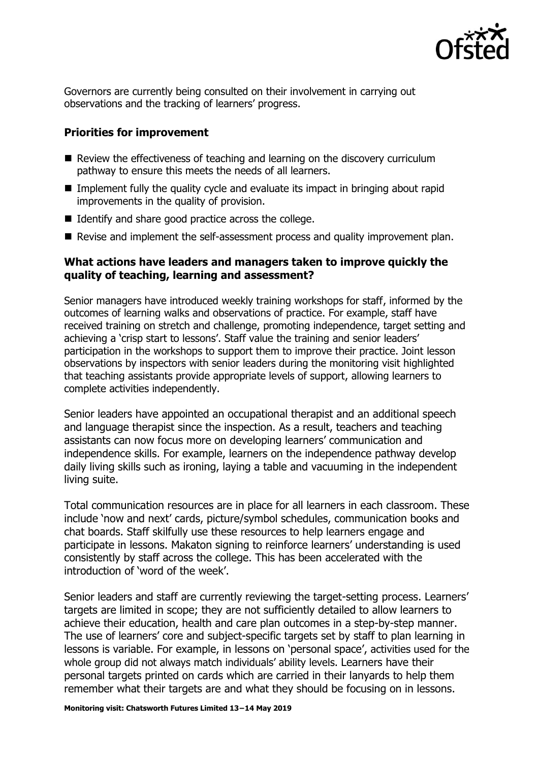

Governors are currently being consulted on their involvement in carrying out observations and the tracking of learners' progress.

### **Priorities for improvement**

- Review the effectiveness of teaching and learning on the discovery curriculum pathway to ensure this meets the needs of all learners.
- Implement fully the quality cycle and evaluate its impact in bringing about rapid improvements in the quality of provision.
- $\blacksquare$  Identify and share good practice across the college.
- Revise and implement the self-assessment process and quality improvement plan.

#### **What actions have leaders and managers taken to improve quickly the quality of teaching, learning and assessment?**

Senior managers have introduced weekly training workshops for staff, informed by the outcomes of learning walks and observations of practice. For example, staff have received training on stretch and challenge, promoting independence, target setting and achieving a 'crisp start to lessons'. Staff value the training and senior leaders' participation in the workshops to support them to improve their practice. Joint lesson observations by inspectors with senior leaders during the monitoring visit highlighted that teaching assistants provide appropriate levels of support, allowing learners to complete activities independently.

Senior leaders have appointed an occupational therapist and an additional speech and language therapist since the inspection. As a result, teachers and teaching assistants can now focus more on developing learners' communication and independence skills. For example, learners on the independence pathway develop daily living skills such as ironing, laying a table and vacuuming in the independent living suite.

Total communication resources are in place for all learners in each classroom. These include 'now and next' cards, picture/symbol schedules, communication books and chat boards. Staff skilfully use these resources to help learners engage and participate in lessons. Makaton signing to reinforce learners' understanding is used consistently by staff across the college. This has been accelerated with the introduction of 'word of the week'.

Senior leaders and staff are currently reviewing the target-setting process. Learners' targets are limited in scope; they are not sufficiently detailed to allow learners to achieve their education, health and care plan outcomes in a step-by-step manner. The use of learners' core and subject-specific targets set by staff to plan learning in lessons is variable. For example, in lessons on 'personal space', activities used for the whole group did not always match individuals' ability levels. Learners have their personal targets printed on cards which are carried in their lanyards to help them remember what their targets are and what they should be focusing on in lessons.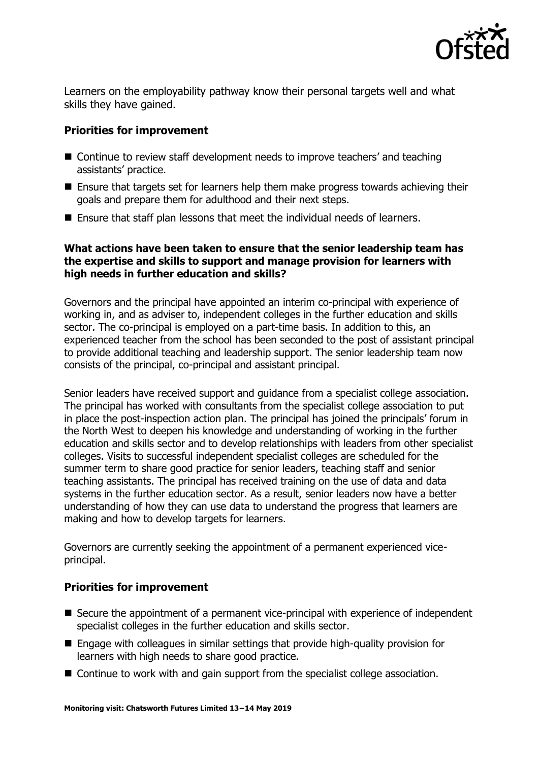

Learners on the employability pathway know their personal targets well and what skills they have gained.

### **Priorities for improvement**

- Continue to review staff development needs to improve teachers' and teaching assistants' practice.
- Ensure that targets set for learners help them make progress towards achieving their goals and prepare them for adulthood and their next steps.
- Ensure that staff plan lessons that meet the individual needs of learners.

#### **What actions have been taken to ensure that the senior leadership team has the expertise and skills to support and manage provision for learners with high needs in further education and skills?**

Governors and the principal have appointed an interim co-principal with experience of working in, and as adviser to, independent colleges in the further education and skills sector. The co-principal is employed on a part-time basis. In addition to this, an experienced teacher from the school has been seconded to the post of assistant principal to provide additional teaching and leadership support. The senior leadership team now consists of the principal, co-principal and assistant principal.

Senior leaders have received support and guidance from a specialist college association. The principal has worked with consultants from the specialist college association to put in place the post-inspection action plan. The principal has joined the principals' forum in the North West to deepen his knowledge and understanding of working in the further education and skills sector and to develop relationships with leaders from other specialist colleges. Visits to successful independent specialist colleges are scheduled for the summer term to share good practice for senior leaders, teaching staff and senior teaching assistants. The principal has received training on the use of data and data systems in the further education sector. As a result, senior leaders now have a better understanding of how they can use data to understand the progress that learners are making and how to develop targets for learners.

Governors are currently seeking the appointment of a permanent experienced viceprincipal.

## **Priorities for improvement**

- Secure the appointment of a permanent vice-principal with experience of independent specialist colleges in the further education and skills sector.
- Engage with colleagues in similar settings that provide high-quality provision for learners with high needs to share good practice.
- Continue to work with and gain support from the specialist college association.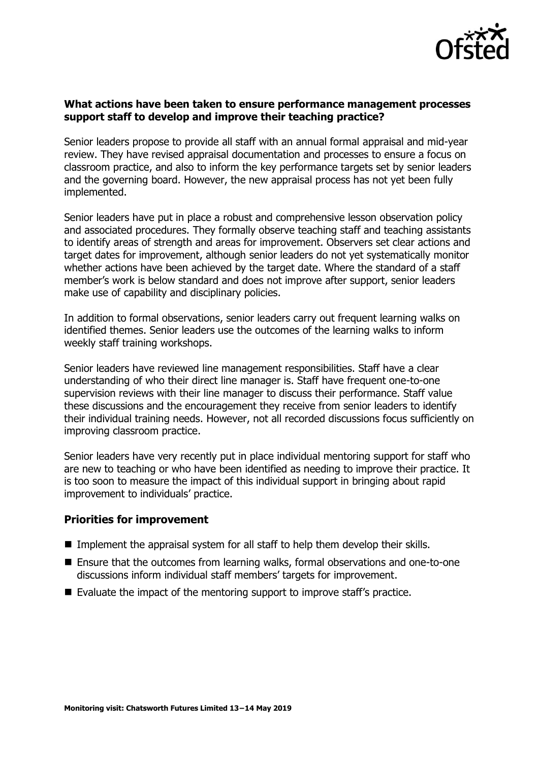

#### **What actions have been taken to ensure performance management processes support staff to develop and improve their teaching practice?**

Senior leaders propose to provide all staff with an annual formal appraisal and mid-year review. They have revised appraisal documentation and processes to ensure a focus on classroom practice, and also to inform the key performance targets set by senior leaders and the governing board. However, the new appraisal process has not yet been fully implemented.

Senior leaders have put in place a robust and comprehensive lesson observation policy and associated procedures. They formally observe teaching staff and teaching assistants to identify areas of strength and areas for improvement. Observers set clear actions and target dates for improvement, although senior leaders do not yet systematically monitor whether actions have been achieved by the target date. Where the standard of a staff member's work is below standard and does not improve after support, senior leaders make use of capability and disciplinary policies.

In addition to formal observations, senior leaders carry out frequent learning walks on identified themes. Senior leaders use the outcomes of the learning walks to inform weekly staff training workshops.

Senior leaders have reviewed line management responsibilities. Staff have a clear understanding of who their direct line manager is. Staff have frequent one-to-one supervision reviews with their line manager to discuss their performance. Staff value these discussions and the encouragement they receive from senior leaders to identify their individual training needs. However, not all recorded discussions focus sufficiently on improving classroom practice.

Senior leaders have very recently put in place individual mentoring support for staff who are new to teaching or who have been identified as needing to improve their practice. It is too soon to measure the impact of this individual support in bringing about rapid improvement to individuals' practice.

#### **Priorities for improvement**

- **Implement the appraisal system for all staff to help them develop their skills.**
- Ensure that the outcomes from learning walks, formal observations and one-to-one discussions inform individual staff members' targets for improvement.
- Evaluate the impact of the mentoring support to improve staff's practice.